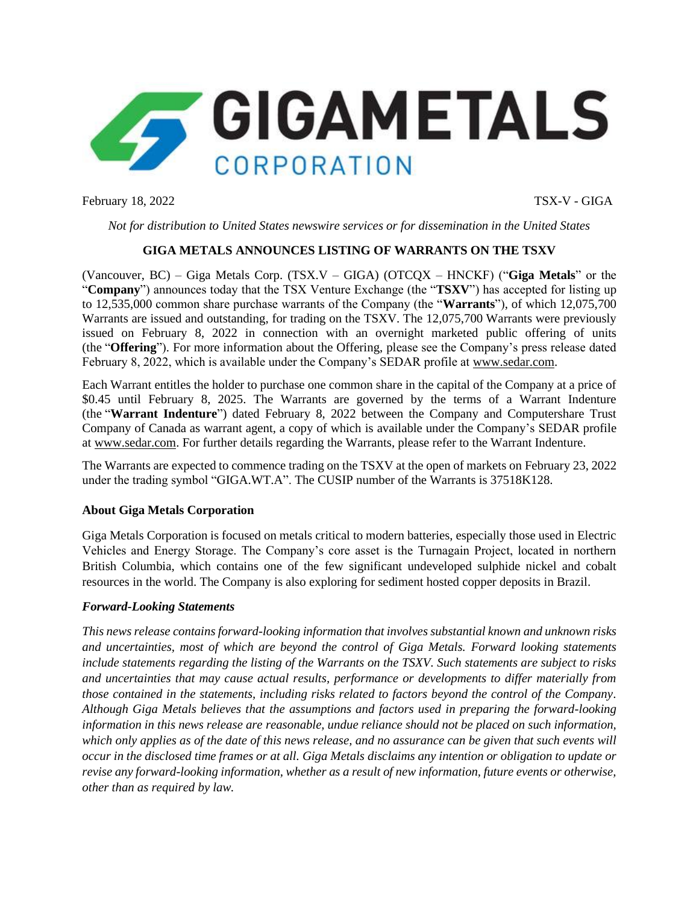

February 18, 2022 TSX-V - GIGA

*Not for distribution to United States newswire services or for dissemination in the United States*

## **GIGA METALS ANNOUNCES LISTING OF WARRANTS ON THE TSXV**

(Vancouver, BC) – Giga Metals Corp. (TSX.V – GIGA) (OTCQX – HNCKF) ("**Giga Metals**" or the "**Company**") announces today that the TSX Venture Exchange (the "**TSXV**") has accepted for listing up to 12,535,000 common share purchase warrants of the Company (the "**Warrants**"), of which 12,075,700 Warrants are issued and outstanding, for trading on the TSXV. The 12,075,700 Warrants were previously issued on February 8, 2022 in connection with an overnight marketed public offering of units (the "**Offering**"). For more information about the Offering, please see the Company's press release dated February 8, 2022, which is available under the Company's SEDAR profile at www.sedar.com.

Each Warrant entitles the holder to purchase one common share in the capital of the Company at a price of \$0.45 until February 8, 2025. The Warrants are governed by the terms of a Warrant Indenture (the "**Warrant Indenture**") dated February 8, 2022 between the Company and Computershare Trust Company of Canada as warrant agent, a copy of which is available under the Company's SEDAR profile at [www.sedar.com.](https://www.newsfilecorp.com/redirect/berkCrVLx) For further details regarding the Warrants, please refer to the Warrant Indenture.

The Warrants are expected to commence trading on the TSXV at the open of markets on February 23, 2022 under the trading symbol "GIGA.WT.A". The CUSIP number of the Warrants is 37518K128.

## **About Giga Metals Corporation**

Giga Metals Corporation is focused on metals critical to modern batteries, especially those used in Electric Vehicles and Energy Storage. The Company's core asset is the Turnagain Project, located in northern British Columbia, which contains one of the few significant undeveloped sulphide nickel and cobalt resources in the world. The Company is also exploring for sediment hosted copper deposits in Brazil.

## *Forward-Looking Statements*

*This news release contains forward-looking information that involves substantial known and unknown risks and uncertainties, most of which are beyond the control of Giga Metals. Forward looking statements include statements regarding the listing of the Warrants on the TSXV. Such statements are subject to risks and uncertainties that may cause actual results, performance or developments to differ materially from those contained in the statements, including risks related to factors beyond the control of the Company. Although Giga Metals believes that the assumptions and factors used in preparing the forward-looking information in this news release are reasonable, undue reliance should not be placed on such information, which only applies as of the date of this news release, and no assurance can be given that such events will occur in the disclosed time frames or at all. Giga Metals disclaims any intention or obligation to update or revise any forward-looking information, whether as a result of new information, future events or otherwise, other than as required by law.*